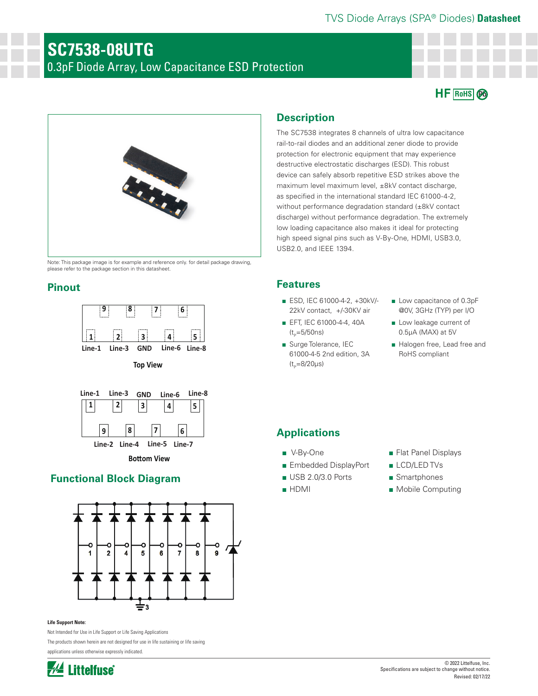# TVS Diode Arrays (SPA® Diodes) **Datasheet**

# **SC7538-08UTG** 0.3pF Diode Array, Low Capacitance ESD Protection





Note: This package image is for example and reference only. for detail package drawing, please refer to the package section in this datasheet.

# **Pinout**







**Bottom View** 

# **Functional Block Diagram**



#### **Life Support Note:**

Not Intended for Use in Life Support or Life Saving Applications

The products shown herein are not designed for use in life sustaining or life saving applications unless otherwise expressly indicated.



# **Description**

The SC7538 integrates 8 channels of ultra low capacitance rail-to-rail diodes and an additional zener diode to provide protection for electronic equipment that may experience destructive electrostatic discharges (ESD). This robust device can safely absorb repetitive ESD strikes above the maximum level maximum level, ±8kV contact discharge, as specified in the international standard IEC 61000-4-2, without performance degradation standard (±8kV contact discharge) without performance degradation. The extremely low loading capacitance also makes it ideal for protecting high speed signal pins such as V-By-One, HDMI, USB3.0, USB2.0, and IEEE 1394.

# **Features**

- ESD, IEC 61000-4-2, +30kV/-22kV contact, +/-30KV air
- EFT, IEC 61000-4-4, 40A  $(t_{p}=5/50ns)$
- Surge Tolerance, IEC 61000-4-5 2nd edition, 3A  $(t_{p}=8/20 \mu s)$
- Low capacitance of 0.3pF @0V, 3GHz (TYP) per I/O
- Low leakage current of 0.5μA (MAX) at 5V
- Halogen free, Lead free and RoHS compliant

# **Applications**

- V-By-One
- Embedded DisplayPort
- USB 2.0/3.0 Ports
- HDMI
- Flat Panel Displays
- LCD/LED TVs
- Smartphones
- Mobile Computing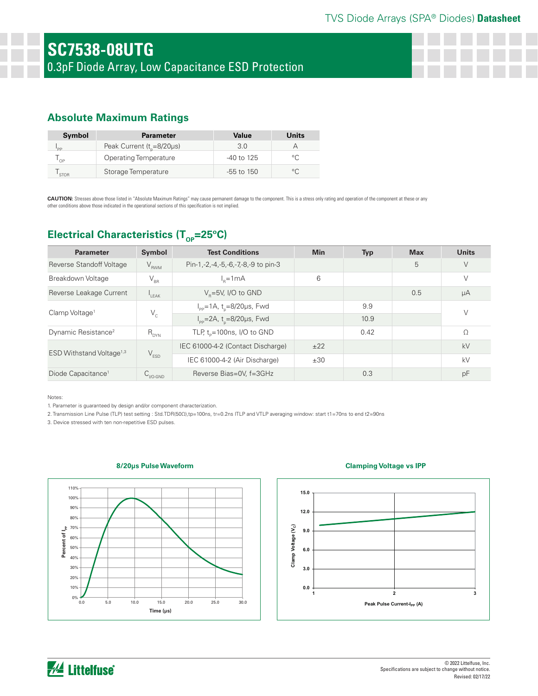# **Absolute Maximum Ratings**

| Symbol      | <b>Parameter</b>                      | Value          | Units          |
|-------------|---------------------------------------|----------------|----------------|
| <b>PP</b>   | Peak Current ( $t_{p} = 8/20 \mu s$ ) | 3.0            |                |
| ' ∩P        | Operating Temperature                 | $-40$ to 125   | $\circ$ $\cap$ |
| <b>STOR</b> | Storage Temperature                   | $-55$ to $150$ | $\circ$ $\cap$ |

CAUTION: Stresses above those listed in "Absolute Maximum Ratings" may cause permanent damage to the component. This is a stress only rating and operation of the component at these or any other conditions above those indicated in the operational sections of this specification is not implied.

# **Electrical Characteristics (T<sub>OP</sub>=25°C)**

| <b>Parameter</b>                     | <b>Symbol</b>        | <b>Test Conditions</b>                                        | <b>Min</b> | Typ  | <b>Max</b> | <b>Units</b> |
|--------------------------------------|----------------------|---------------------------------------------------------------|------------|------|------------|--------------|
| Reverse Standoff Voltage             | $V_{RWM}$            | Pin-1,-2,-4,-5,-6,-7,-8,-9 to pin-3                           |            |      | 5          | V            |
| Breakdown Voltage                    | $V_{\rm BR}$         | $ln=1mA$                                                      | 6          |      |            | V            |
| Reverse Leakage Current              | I <sub>LEAK</sub>    | $V_p = 5V$ , I/O to GND                                       |            |      | 0.5        | μA           |
| Clamp Voltage <sup>1</sup>           | $V_c$                | $I_{\text{pp}} = 1 \text{A}, t_{\text{n}} = 8/20 \mu s$ , Fwd |            | 9.9  |            | V            |
|                                      |                      | $I_{\text{pp}} = 2A$ , t <sub>n</sub> =8/20µs, Fwd            |            | 10.9 |            |              |
| Dynamic Resistance <sup>2</sup>      | $R_{DYN}$            | TLP, $t_p = 100$ ns, I/O to GND                               |            | 0.42 |            | $\Omega$     |
| ESD Withstand Voltage <sup>1,3</sup> | $V_{ESD}$            | IEC 61000-4-2 (Contact Discharge)                             | ±22        |      |            | kV           |
|                                      |                      | IEC 61000-4-2 (Air Discharge)                                 | ±30        |      |            | kV           |
| Diode Capacitance <sup>1</sup>       | $C_{\text{IVO-GND}}$ | Reverse Bias=0V, f=3GHz                                       |            | 0.3  |            | pF           |

Notes:

1. Parameter is guaranteed by design and/or component characterization.

2. Transmission Line Pulse (TLP) test setting : Std.TDR(50Ω),tp=100ns, tr=0.2ns ITLP and VTLP averaging window: start t1=70ns to end t2=90ns

3. Device stressed with ten non-repetitive ESD pulses.

#### **8/20μs Pulse Waveform**



#### **Clamping Voltage vs IPP**



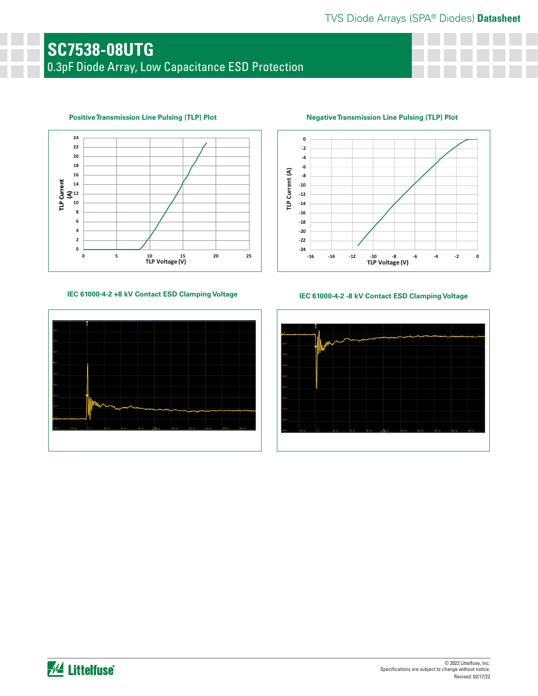# **SC7538-08UTG** 0.3pF Diode Array, Low Capacitance ESD Protection



## **Positive Transmission Line Pulsing (TLP) Plot**

### **IEC 61000-4-2 +8 kV Contact ESD Clamping Voltage IEC 61000-4-2 -8 kV Contact ESD Clamping Voltage**



**Negative Transmission Line Pulsing (TLP) Plot**



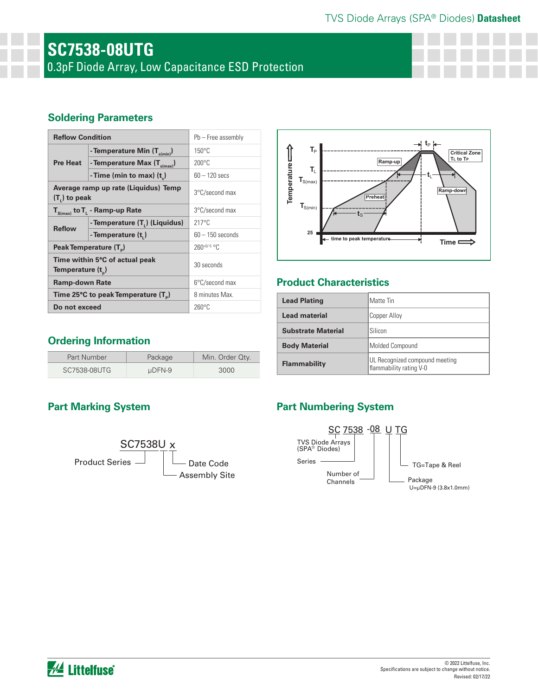# TVS Diode Arrays (SPA® Diodes) **Datasheet**

# **SC7538-08UTG** 0.3pF Diode Array, Low Capacitance ESD Protection

# **Soldering Parameters**

| <b>Reflow Condition</b>                                                   |                                          | $Pb$ – Free assembly |  |
|---------------------------------------------------------------------------|------------------------------------------|----------------------|--|
| Pre Heat                                                                  | - Temperature Min (T <sub>s(min)</sub> ) | $150^{\circ}$ C      |  |
|                                                                           | - Temperature Max $(T_{s(max)})$         | $200^{\circ}$ C      |  |
|                                                                           | - Time (min to max) $(t_*)$              | $60 - 120$ secs      |  |
| Average ramp up rate (Liquidus) Temp<br>$(T1)$ to peak                    |                                          | 3°C/second max       |  |
| $T_{S(max)}$ to $T_{L}$ - Ramp-up Rate                                    |                                          | 3°C/second max       |  |
| <b>Reflow</b>                                                             | - Temperature (T,) (Liquidus)            | $217^{\circ}$ C      |  |
|                                                                           | - Temperature (t <sub>1</sub> )          | $60 - 150$ seconds   |  |
| Peak Temperature (T <sub>p</sub> )                                        |                                          | $260^{+0/-5}$ °C     |  |
| Time within 5°C of actual peak<br>Temperature (t <sub><sub>n</sub>)</sub> |                                          | 30 seconds           |  |
| <b>Ramp-down Rate</b>                                                     |                                          | 6°C/second max       |  |
| Time 25°C to peak Temperature (T <sub>a</sub> )                           |                                          | 8 minutes Max.       |  |
| Do not exceed                                                             |                                          | $260^{\circ}$ C      |  |



# **Product Characteristics**

| <b>Lead Plating</b>       | Matte Tin                                                 |
|---------------------------|-----------------------------------------------------------|
| Lead material             | Copper Alloy                                              |
| <b>Substrate Material</b> | Silicon                                                   |
| <b>Body Material</b>      | Molded Compound                                           |
| <b>Flammability</b>       | UL Recognized compound meeting<br>flammability rating V-0 |

# **Ordering Information**

| Part Number  | Package     | Min. Order Qty. |
|--------------|-------------|-----------------|
| SC7538-08UTG | $\mu$ DFN-9 | 3000            |



# **Part Marking System Part Numbering System**